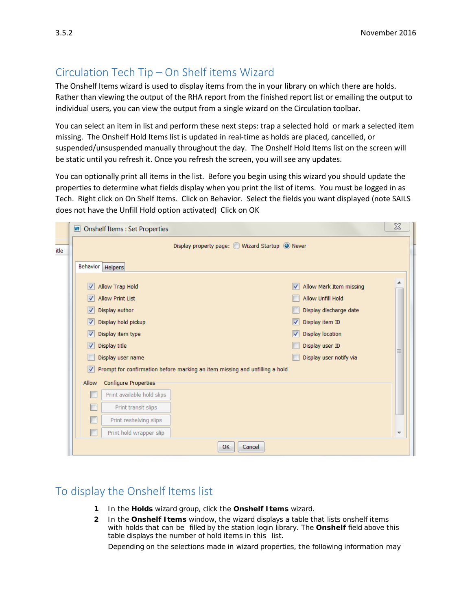## Circulation Tech Tip – On Shelf items Wizard

The Onshelf Items wizard is used to display items from the in your library on which there are holds. Rather than viewing the output of the RHA report from the finished report list or emailing the output to individual users, you can view the output from a single wizard on the Circulation toolbar.

You can select an item in list and perform these next steps: trap a selected hold or mark a selected item missing. The Onshelf Hold Items list is updated in real-time as holds are placed, cancelled, or suspended/unsuspended manually throughout the day. The Onshelf Hold Items list on the screen will be static until you refresh it. Once you refresh the screen, you will see any updates.

You can optionally print all items in the list. Before you begin using this wizard you should update the properties to determine what fields display when you print the list of items. You must be logged in as Tech. Right click on On Shelf Items. Click on Behavior. Select the fields you want displayed (note SAILS does not have the Unfill Hold option activated) Click on OK

| <b>WE Onshelf Items: Set Properties</b>                                          |                              | $\chi$ |  |  |  |
|----------------------------------------------------------------------------------|------------------------------|--------|--|--|--|
| Display property page: O Wizard Startup O Never                                  |                              |        |  |  |  |
| Behavior   Helpers                                                               |                              |        |  |  |  |
| Allow Trap Hold<br>V                                                             | Allow Mark Item missing<br>√ |        |  |  |  |
| <b>Allow Print List</b>                                                          | <b>Allow Unfill Hold</b>     |        |  |  |  |
| Display author<br>√                                                              | Display discharge date       |        |  |  |  |
| Display hold pickup<br>√                                                         | Display item ID<br>√         |        |  |  |  |
| Display item type<br>V                                                           | <b>Display location</b><br>√ |        |  |  |  |
| Display title<br>V                                                               | Display user ID              |        |  |  |  |
| Display user name                                                                | Display user notify via      | Ξ      |  |  |  |
| Prompt for confirmation before marking an item missing and unfilling a hold<br>V |                              |        |  |  |  |
| Configure Properties<br>Allow                                                    |                              |        |  |  |  |
| Print available hold slips                                                       |                              |        |  |  |  |
| Print transit slips                                                              |                              |        |  |  |  |
| Print reshelving slips                                                           |                              |        |  |  |  |
| Print hold wrapper slip                                                          |                              | ▼      |  |  |  |
| OK<br>Cancel                                                                     |                              |        |  |  |  |

## To display the Onshelf Items list

- **1** In the **Holds** wizard group, click the **Onshelf Items** wizard.
- **2** In the **Onshelf Items** window, the wizard displays a table that lists onshelf items with holds that can be filled by the station login library. The **Onshelf** field above this table displays the number of hold items in this list.

Depending on the selections made in wizard properties, the following information may